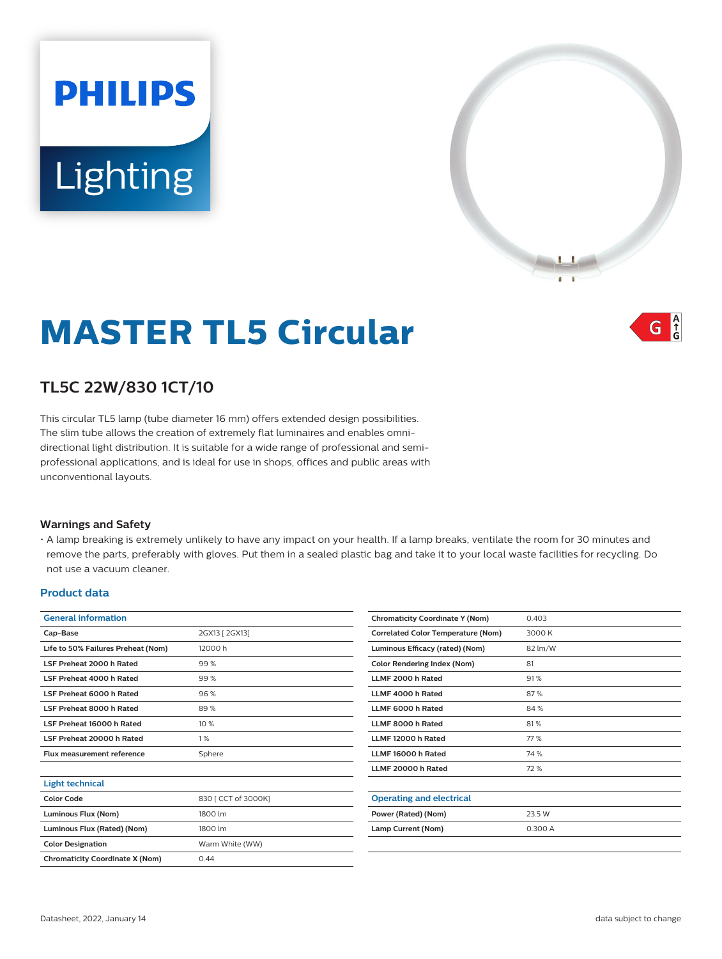# **PHILIPS** Lighting



 $\int_{0}^{A}$ G

# **MASTER TL5 Circular**

# **TL5C 22W/830 1CT/10**

This circular TL5 lamp (tube diameter 16 mm) offers extended design possibilities. The slim tube allows the creation of extremely flat luminaires and enables omnidirectional light distribution. It is suitable for a wide range of professional and semiprofessional applications, and is ideal for use in shops, offices and public areas with unconventional layouts.

## **Warnings and Safety**

• A lamp breaking is extremely unlikely to have any impact on your health. If a lamp breaks, ventilate the room for 30 minutes and remove the parts, preferably with gloves. Put them in a sealed plastic bag and take it to your local waste facilities for recycling. Do not use a vacuum cleaner.

#### **Product data**

| <b>General information</b>             |                     |
|----------------------------------------|---------------------|
| Cap-Base                               | 2GX13 [ 2GX13]      |
| Life to 50% Failures Preheat (Nom)     | 12000 h             |
| LSF Preheat 2000 h Rated               | 99%                 |
| LSF Preheat 4000 h Rated               | 99%                 |
| LSF Preheat 6000 h Rated               | 96%                 |
| <b>I SE Preheat 8000 h Rated</b>       | 89%                 |
| LSF Preheat 16000 h Rated              | 10%                 |
| LSF Preheat 20000 h Rated              | 1%                  |
| <b>Flux measurement reference</b>      | Sphere              |
|                                        |                     |
| <b>Light technical</b>                 |                     |
| Color Code                             | 830   CCT of 3000K] |
| Luminous Flux (Nom)                    | 1800 lm             |
| Luminous Flux (Rated) (Nom)            | 1800 lm             |
| <b>Color Designation</b>               | Warm White (WW)     |
| <b>Chromaticity Coordinate X (Nom)</b> | 0.44                |
|                                        |                     |

| <b>Chromaticity Coordinate Y (Nom)</b>    | 0.403   |
|-------------------------------------------|---------|
| <b>Correlated Color Temperature (Nom)</b> | 3000 K  |
| Luminous Efficacy (rated) (Nom)           | 82 lm/W |
| <b>Color Rendering Index (Nom)</b>        | 81      |
| LLMF 2000 h Rated                         | 91%     |
| LLMF 4000 h Rated                         | 87%     |
| LLMF 6000 h Rated                         | 84 %    |
| LLMF 8000 h Rated                         | 81%     |
| LLMF 12000 h Rated                        | 77%     |
| LLMF 16000 h Rated                        | 74%     |
| LLMF 20000 h Rated                        | 72%     |
|                                           |         |
| <b>Operating and electrical</b>           |         |
| Power (Rated) (Nom)                       | 23.5 W  |
| Lamp Current (Nom)                        | 0.300 A |
|                                           |         |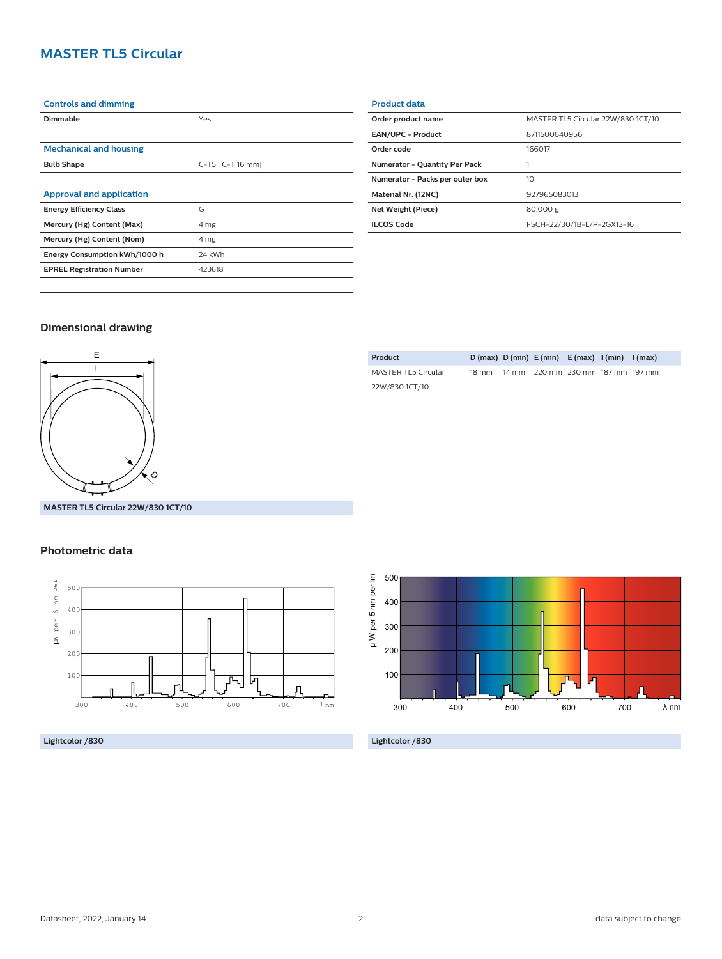# **MASTER TL5 Circular**

| <b>Controls and dimming</b>      |                      |
|----------------------------------|----------------------|
| Dimmable                         | Yes                  |
|                                  |                      |
| <b>Mechanical and housing</b>    |                      |
| <b>Bulb Shape</b>                | $C-T5$ [ $C-T16$ mm] |
|                                  |                      |
| <b>Approval and application</b>  |                      |
| <b>Energy Efficiency Class</b>   | G                    |
| Mercury (Hg) Content (Max)       | 4 mg                 |
| Mercury (Hg) Content (Nom)       | 4 mg                 |
| Energy Consumption kWh/1000 h    | 24 kWh               |
| <b>EPREL Registration Number</b> | 423618               |
|                                  |                      |

| <b>Product data</b>                  |                                    |
|--------------------------------------|------------------------------------|
| Order product name                   | MASTER TL5 Circular 22W/830 1CT/10 |
| <b>EAN/UPC - Product</b>             | 8711500640956                      |
| Order code                           | 166017                             |
| <b>Numerator - Quantity Per Pack</b> |                                    |
| Numerator - Packs per outer box      | 10                                 |
| Material Nr. (12NC)                  | 927965083013                       |
| Net Weight (Piece)                   | 80.000 g                           |
| <b>ILCOS Code</b>                    | FSCH-22/30/1B-L/P-2GX13-16         |

### **Dimensional drawing**



**Product D (max) D (min) E (min) E (max) I (min) I (max)** MASTER TL5 Circular 22W/830 1CT/10 18 mm 14 mm 220 mm 230 mm 187 mm 197 mm

**MASTER TL5 Circular 22W/830 1CT/10**

### **Photometric data**



**Lightcolor /830**